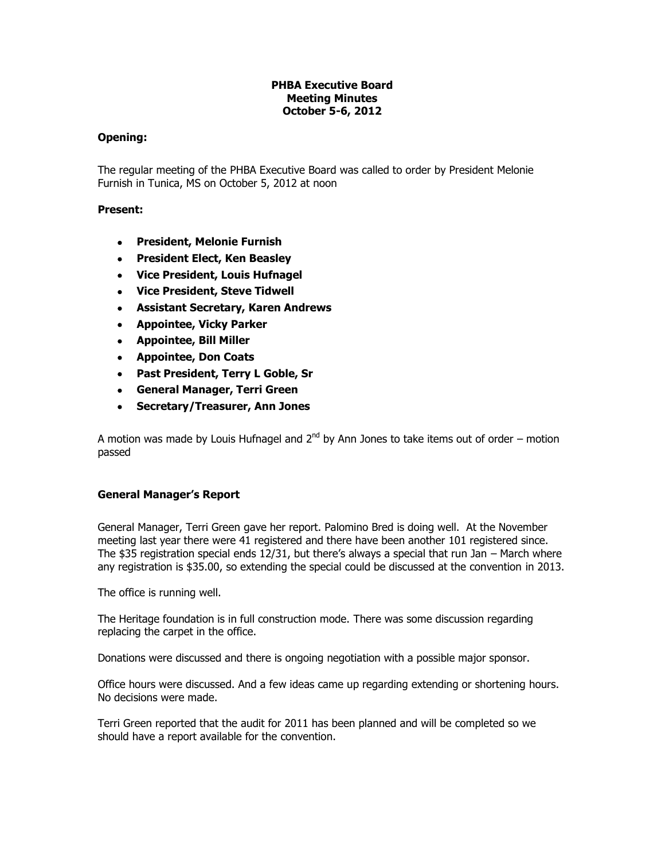# **PHBA Executive Board Meeting Minutes October 5-6, 2012**

## **Opening:**

The regular meeting of the PHBA Executive Board was called to order by President Melonie Furnish in Tunica, MS on October 5, 2012 at noon

## **Present:**

- **President, Melonie Furnish**
- **President Elect, Ken Beasley**
- **Vice President, Louis Hufnagel**
- **Vice President, Steve Tidwell**
- **Assistant Secretary, Karen Andrews**
- **Appointee, Vicky Parker**
- **Appointee, Bill Miller**
- **Appointee, Don Coats**
- **Past President, Terry L Goble, Sr**
- **General Manager, Terri Green**
- **Secretary/Treasurer, Ann Jones**

A motion was made by Louis Hufnagel and  $2^{nd}$  by Ann Jones to take items out of order – motion passed

# **General Manager's Report**

General Manager, Terri Green gave her report. Palomino Bred is doing well. At the November meeting last year there were 41 registered and there have been another 101 registered since. The \$35 registration special ends 12/31, but there's always a special that run Jan – March where any registration is \$35.00, so extending the special could be discussed at the convention in 2013.

The office is running well.

The Heritage foundation is in full construction mode. There was some discussion regarding replacing the carpet in the office.

Donations were discussed and there is ongoing negotiation with a possible major sponsor.

Office hours were discussed. And a few ideas came up regarding extending or shortening hours. No decisions were made.

Terri Green reported that the audit for 2011 has been planned and will be completed so we should have a report available for the convention.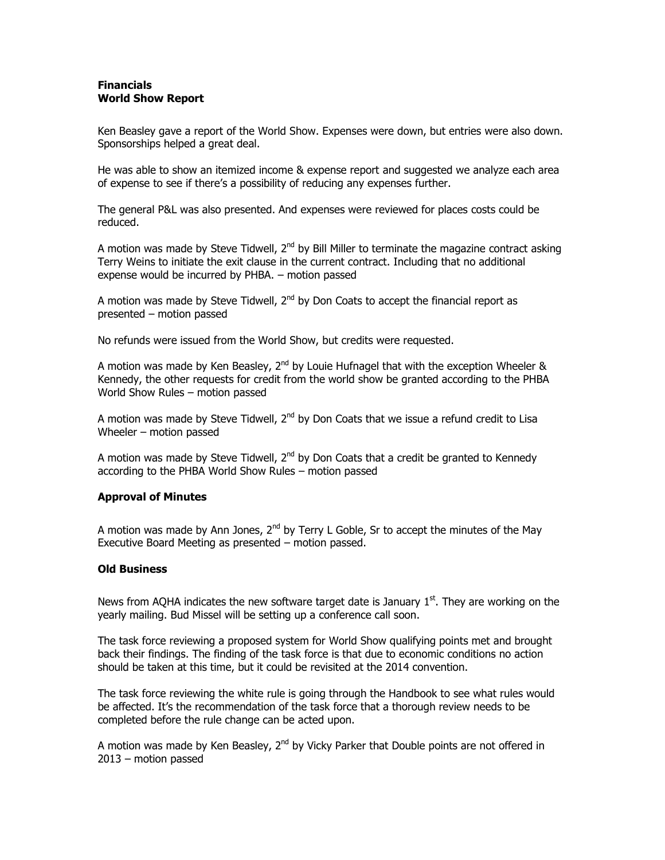## **Financials World Show Report**

Ken Beasley gave a report of the World Show. Expenses were down, but entries were also down. Sponsorships helped a great deal.

He was able to show an itemized income & expense report and suggested we analyze each area of expense to see if there's a possibility of reducing any expenses further.

The general P&L was also presented. And expenses were reviewed for places costs could be reduced.

A motion was made by Steve Tidwell,  $2^{nd}$  by Bill Miller to terminate the magazine contract asking Terry Weins to initiate the exit clause in the current contract. Including that no additional expense would be incurred by PHBA. – motion passed

A motion was made by Steve Tidwell,  $2^{nd}$  by Don Coats to accept the financial report as presented – motion passed

No refunds were issued from the World Show, but credits were requested.

A motion was made by Ken Beasley,  $2^{nd}$  by Louie Hufnagel that with the exception Wheeler & Kennedy, the other requests for credit from the world show be granted according to the PHBA World Show Rules – motion passed

A motion was made by Steve Tidwell,  $2^{nd}$  by Don Coats that we issue a refund credit to Lisa Wheeler – motion passed

A motion was made by Steve Tidwell,  $2^{nd}$  by Don Coats that a credit be granted to Kennedy according to the PHBA World Show Rules – motion passed

# **Approval of Minutes**

A motion was made by Ann Jones,  $2^{nd}$  by Terry L Goble, Sr to accept the minutes of the May Executive Board Meeting as presented – motion passed.

### **Old Business**

News from AQHA indicates the new software target date is January  $1<sup>st</sup>$ . They are working on the yearly mailing. Bud Missel will be setting up a conference call soon.

The task force reviewing a proposed system for World Show qualifying points met and brought back their findings. The finding of the task force is that due to economic conditions no action should be taken at this time, but it could be revisited at the 2014 convention.

The task force reviewing the white rule is going through the Handbook to see what rules would be affected. It's the recommendation of the task force that a thorough review needs to be completed before the rule change can be acted upon.

A motion was made by Ken Beasley,  $2^{nd}$  by Vicky Parker that Double points are not offered in 2013 – motion passed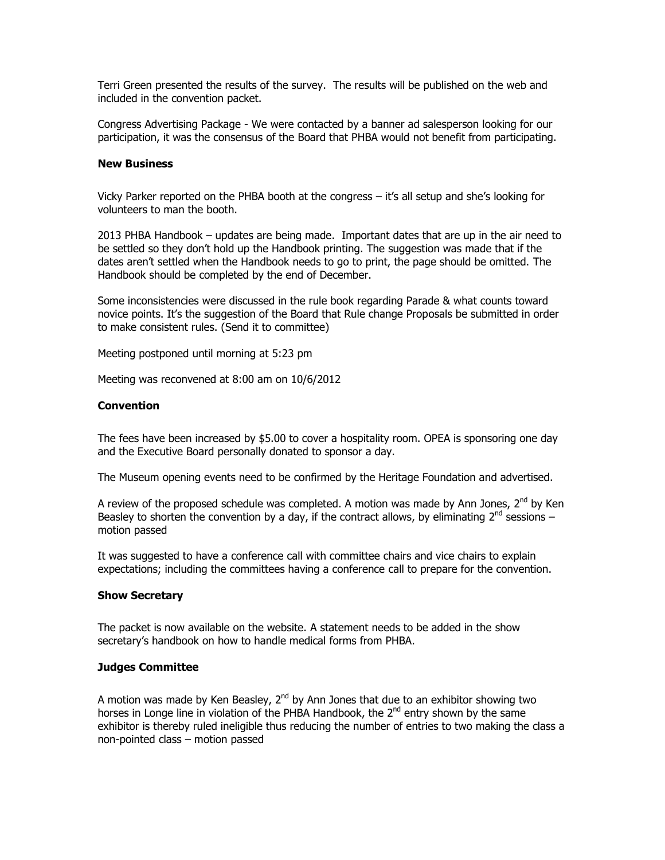Terri Green presented the results of the survey. The results will be published on the web and included in the convention packet.

Congress Advertising Package - We were contacted by a banner ad salesperson looking for our participation, it was the consensus of the Board that PHBA would not benefit from participating.

#### **New Business**

Vicky Parker reported on the PHBA booth at the congress – it's all setup and she's looking for volunteers to man the booth.

2013 PHBA Handbook – updates are being made. Important dates that are up in the air need to be settled so they don't hold up the Handbook printing. The suggestion was made that if the dates aren't settled when the Handbook needs to go to print, the page should be omitted. The Handbook should be completed by the end of December.

Some inconsistencies were discussed in the rule book regarding Parade & what counts toward novice points. It's the suggestion of the Board that Rule change Proposals be submitted in order to make consistent rules. (Send it to committee)

Meeting postponed until morning at 5:23 pm

Meeting was reconvened at 8:00 am on 10/6/2012

### **Convention**

The fees have been increased by \$5.00 to cover a hospitality room. OPEA is sponsoring one day and the Executive Board personally donated to sponsor a day.

The Museum opening events need to be confirmed by the Heritage Foundation and advertised.

A review of the proposed schedule was completed. A motion was made by Ann Jones,  $2^{nd}$  by Ken Beasley to shorten the convention by a day, if the contract allows, by eliminating  $2^{nd}$  sessions – motion passed

It was suggested to have a conference call with committee chairs and vice chairs to explain expectations; including the committees having a conference call to prepare for the convention.

#### **Show Secretary**

The packet is now available on the website. A statement needs to be added in the show secretary's handbook on how to handle medical forms from PHBA.

#### **Judges Committee**

A motion was made by Ken Beasley,  $2^{nd}$  by Ann Jones that due to an exhibitor showing two horses in Longe line in violation of the PHBA Handbook, the 2<sup>nd</sup> entry shown by the same exhibitor is thereby ruled ineligible thus reducing the number of entries to two making the class a non-pointed class – motion passed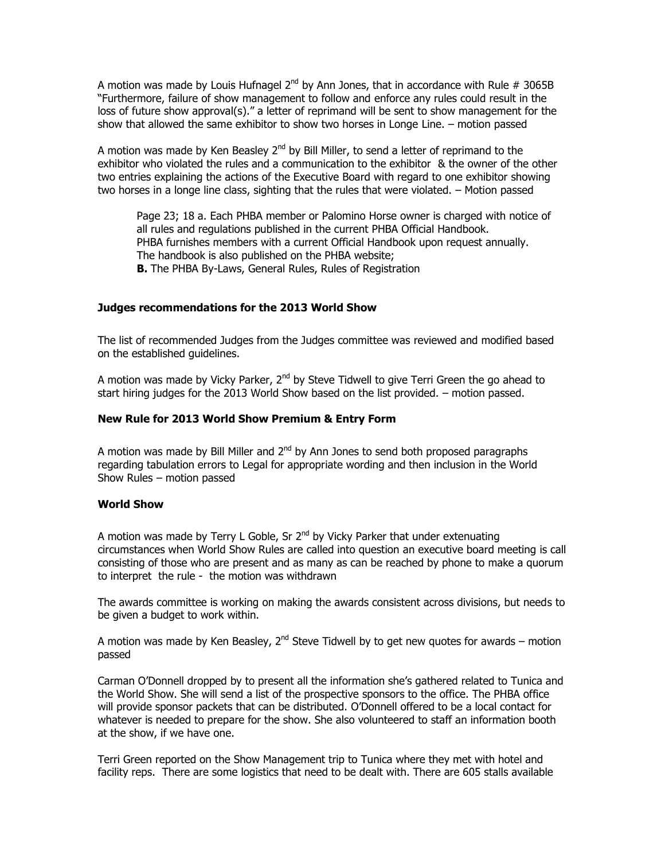A motion was made by Louis Hufnagel 2<sup>nd</sup> by Ann Jones, that in accordance with Rule # 3065B "Furthermore, failure of show management to follow and enforce any rules could result in the loss of future show approval(s)." a letter of reprimand will be sent to show management for the show that allowed the same exhibitor to show two horses in Longe Line. – motion passed

A motion was made by Ken Beasley 2<sup>nd</sup> by Bill Miller, to send a letter of reprimand to the exhibitor who violated the rules and a communication to the exhibitor & the owner of the other two entries explaining the actions of the Executive Board with regard to one exhibitor showing two horses in a longe line class, sighting that the rules that were violated. – Motion passed

Page 23; 18 a. Each PHBA member or Palomino Horse owner is charged with notice of all rules and regulations published in the current PHBA Official Handbook. PHBA furnishes members with a current Official Handbook upon request annually. The handbook is also published on the PHBA website; **B.** The PHBA By-Laws, General Rules, Rules of Registration

# **Judges recommendations for the 2013 World Show**

The list of recommended Judges from the Judges committee was reviewed and modified based on the established guidelines.

A motion was made by Vicky Parker, 2<sup>nd</sup> by Steve Tidwell to give Terri Green the go ahead to start hiring judges for the 2013 World Show based on the list provided. – motion passed.

### **New Rule for 2013 World Show Premium & Entry Form**

A motion was made by Bill Miller and  $2<sup>nd</sup>$  by Ann Jones to send both proposed paragraphs regarding tabulation errors to Legal for appropriate wording and then inclusion in the World Show Rules – motion passed

### **World Show**

A motion was made by Terry L Goble, Sr 2<sup>nd</sup> by Vicky Parker that under extenuating circumstances when World Show Rules are called into question an executive board meeting is call consisting of those who are present and as many as can be reached by phone to make a quorum to interpret the rule - the motion was withdrawn

The awards committee is working on making the awards consistent across divisions, but needs to be given a budget to work within.

A motion was made by Ken Beasley, 2<sup>nd</sup> Steve Tidwell by to get new quotes for awards – motion passed

Carman O'Donnell dropped by to present all the information she's gathered related to Tunica and the World Show. She will send a list of the prospective sponsors to the office. The PHBA office will provide sponsor packets that can be distributed. O'Donnell offered to be a local contact for whatever is needed to prepare for the show. She also volunteered to staff an information booth at the show, if we have one.

Terri Green reported on the Show Management trip to Tunica where they met with hotel and facility reps. There are some logistics that need to be dealt with. There are 605 stalls available